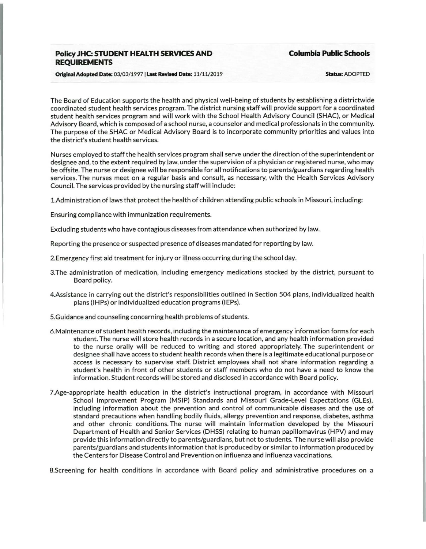# **Policy JHC: STUDENT HEALTH SERVICES AND REQUIREMENTS**

**Columbia Public Schools** 

**Orfstnal Adopted Date:** 03/03/1997 I **Last Revised Date:** 11/11/2019 **Status:** ADOPTED

The Board of Education supports the health and physical well-being of students by establishing a districtwide coordinated student health services program. The district nursing staff will provide support for a coordinated student health services program and will work with the School Health Advisory Council (SHAC}, or Medical Advisory Board, which is composed of a school nurse, a counselor and medical professionals in the community. The purpose of the SHAC or Medical Advisory Board is to incorporate community priorities and values into the district's student health services.

Nurses employed to staff the health services program shall serve under the direction of the superintendent or designee and, to the extent required by law, under the supervision of a physician or registered nurse, who may be offsite. The nurse or designee will be responsible for all notifications to parents/guardians regarding health services. The nurses meet on a regular basis and consult, as necessary, with the Health Services Advisory Council. The services provided by the nursing staff will include:

!.Administration of laws that protect the health of children attending public schools in Missouri, including:

Ensuring compliance with immunization requirements.

Excluding students who have contagious diseases from attendance when authorized by law.

Reporting the presence or suspected presence of diseases mandated for reporting by law.

2.Emergency first aid treatment for injury or illness occurring during the school day.

- 3.The administration of medication, including emergency medications stocked by the district, pursuant to Board policy.
- 4.Assistance in carrying out the district's responsibilities outlined in Section 504 plans, individualized health plans (IHPs} or individualized education programs (IEPs).
- S.Guidance and counseling concerning health problems of students.
- 6.Maintenance of student health records, including the maintenance of emergency information forms for each student. The nurse will store health records in a secure location, and any health information provided to the nurse orally will be reduced to writing and stored appropriately. The superintendent or designee shall have access to student health records when there is a legitimate educational purpose or access is necessary to supervise staff. District employees shall not share information regarding a student's health in front of other students or staff members who do not have a need to know the information. Student records will be stored and disclosed in accordance with Board policy.
- 7.Age-appropriate health education in the district's instructional program, in accordance with Missouri School Improvement Program (MSIP) Standards and Missouri Grade-Level Expectations {GLEs}, including information about the prevention and control of communicable diseases and the use of standard precautions when handling bodily fluids, allergy prevention and response, diabetes, asthma and other chronic conditions. The nurse will maintain information developed by the Missouri Department of Health and Senior Services {DHSS} relating to human papillomavirus (HPV} and may provide this information directly to parents/guardians, but not to students. The nurse will also provide parents/guardians and students information that is produced by or similar to information produced by the Centers for Disease Control and Prevention on influenza and influenza vaccinations.

8.Screening for health conditions in accordance with Board policy and administrative procedures on a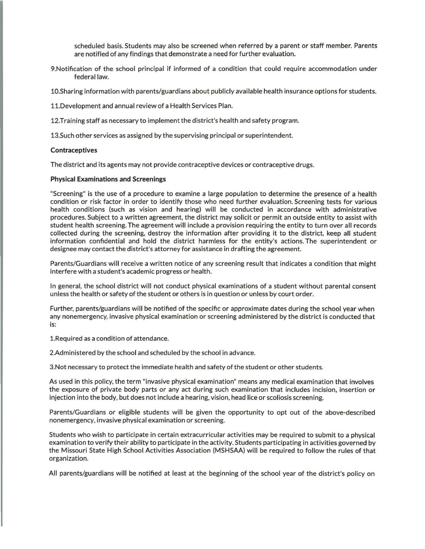scheduled basis. Students may also be screened when referred by a parent or staff member. Parents are notified of any findings that demonstrate a need for further evaluation.

9.Notification of the school principal if informed of a condition that could require accommodation under federal law.

10.Sharing information with parents/guardians about publicly available health insurance options for students.

11.Development and annual review of a Health Services Plan.

12.Training staff as necessary to implement the district's health and safety program.

13.Such other services as assigned by the supervising principal or superintendent.

#### **Contraceptives**

The district and its agents may not provide contraceptive devices or contraceptive drugs.

#### Physical Examinations and Screenings

"Screening" is the use of a procedure to examine a large population to determine the presence of a health condition or risk factor in order to identify those who need further evaluation. Screening tests for various health conditions {such as vision and hearing) will be conducted in accordance with administrative procedures. Subject to a written agreement, the district may solicit or permit an outside entity to assist with student health screening. The agreement will include a provision requiring the entity to turn over all records collected during the screening, destroy the information after providing it to the district, keep all student information confidential and hold the district harmless for the entity's actions. The superintendent or designee may contact the district's attorney for assistance in drafting the agreement.

Parents/Guardians will receive a written notice of any screening result that indicates a condition that might interfere with a student's academic progress or health.

In general, the school district will not conduct physical examinations of a student without parental consent unless the health or safety of the student or others is in question or unless by court order.

Further, parents/guardians will be notified of the specific or approximate dates during the school year when any nonemergency, invasive physical examination or screening administered by the district is conducted that is:

1.Required as a condition of attendance.

2.Administered by the school and scheduled by the school in advance.

3.Not necessary to protect the immediate health and safety of the student or other students.

As used in this policy, the term "invasive physical examination" means any medical examination that involves the exposure of private body parts or any act during such examination that includes incision, insertion or injection into the body, but does not include a hearing, vision, head lice or scoliosis screening.

Parents/Guardians or eligible students will be given the opportunity to opt out of the above-described nonemergency, invasive physical examination or screening.

Students who wish to participate in certain extracurricular activities may be required to submit to a physical examination to verify their ability to participate in the activity. Students participating in activities governed by the Missouri State High School Activities Association (MSHSAA) will be required to follow the rules of that organization.

All parents/guardians will be notified at least at the beginning of the school year of the district's policy on